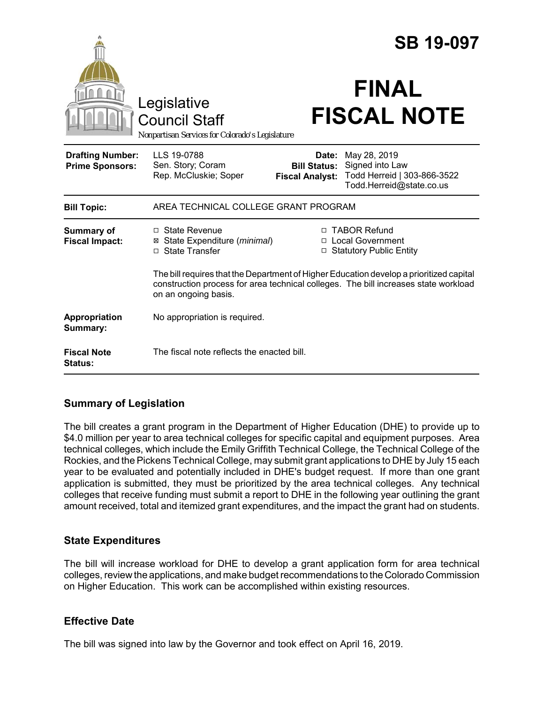|                                                   |                                                                                                                                                                                                        |                                                        | <b>SB 19-097</b>                                                                           |
|---------------------------------------------------|--------------------------------------------------------------------------------------------------------------------------------------------------------------------------------------------------------|--------------------------------------------------------|--------------------------------------------------------------------------------------------|
|                                                   | Legislative<br><b>Council Staff</b><br>Nonpartisan Services for Colorado's Legislature                                                                                                                 |                                                        | <b>FINAL</b><br><b>FISCAL NOTE</b>                                                         |
| <b>Drafting Number:</b><br><b>Prime Sponsors:</b> | LLS 19-0788<br>Sen. Story; Coram<br>Rep. McCluskie; Soper                                                                                                                                              | Date:<br><b>Bill Status:</b><br><b>Fiscal Analyst:</b> | May 28, 2019<br>Signed into Law<br>Todd Herreid   303-866-3522<br>Todd.Herreid@state.co.us |
| <b>Bill Topic:</b>                                | AREA TECHNICAL COLLEGE GRANT PROGRAM                                                                                                                                                                   |                                                        |                                                                                            |
| <b>Summary of</b><br><b>Fiscal Impact:</b>        | $\Box$ State Revenue<br>⊠ State Expenditure (minimal)<br>□ State Transfer                                                                                                                              | $\Box$                                                 | □ TABOR Refund<br>□ Local Government<br><b>Statutory Public Entity</b>                     |
|                                                   | The bill requires that the Department of Higher Education develop a prioritized capital<br>construction process for area technical colleges. The bill increases state workload<br>on an ongoing basis. |                                                        |                                                                                            |
| Appropriation<br>Summary:                         | No appropriation is required.                                                                                                                                                                          |                                                        |                                                                                            |
| <b>Fiscal Note</b><br><b>Status:</b>              | The fiscal note reflects the enacted bill.                                                                                                                                                             |                                                        |                                                                                            |

## **Summary of Legislation**

The bill creates a grant program in the Department of Higher Education (DHE) to provide up to \$4.0 million per year to area technical colleges for specific capital and equipment purposes. Area technical colleges, which include the Emily Griffith Technical College, the Technical College of the Rockies, and the Pickens Technical College, may submit grant applications to DHE by July 15 each year to be evaluated and potentially included in DHE's budget request. If more than one grant application is submitted, they must be prioritized by the area technical colleges. Any technical colleges that receive funding must submit a report to DHE in the following year outlining the grant amount received, total and itemized grant expenditures, and the impact the grant had on students.

## **State Expenditures**

The bill will increase workload for DHE to develop a grant application form for area technical colleges, review the applications, and make budget recommendations to the Colorado Commission on Higher Education. This work can be accomplished within existing resources.

## **Effective Date**

The bill was signed into law by the Governor and took effect on April 16, 2019.